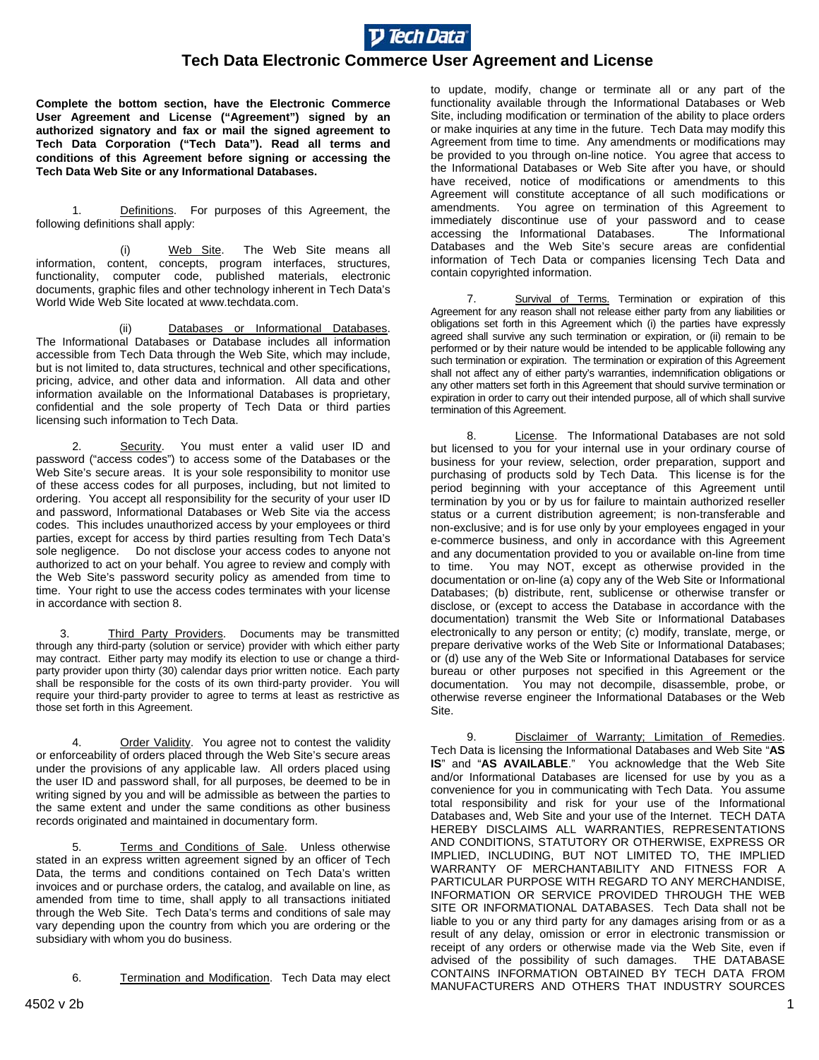

## **Tech Data Electronic Commerce User Agreement and License**

**Complete the bottom section, have the Electronic Commerce User Agreement and License ("Agreement") signed by an authorized signatory and fax or mail the signed agreement to Tech Data Corporation ("Tech Data"). Read all terms and conditions of this Agreement before signing or accessing the Tech Data Web Site or any Informational Databases.** 

1. Definitions. For purposes of this Agreement, the following definitions shall apply:

 (i) Web Site. The Web Site means all information, content, concepts, program interfaces, structures, functionality, computer code, published materials, electronic documents, graphic files and other technology inherent in Tech Data's World Wide Web Site located at www.techdata.com.

 (ii) Databases or Informational Databases. The Informational Databases or Database includes all information accessible from Tech Data through the Web Site, which may include, but is not limited to, data structures, technical and other specifications, pricing, advice, and other data and information. All data and other information available on the Informational Databases is proprietary, confidential and the sole property of Tech Data or third parties licensing such information to Tech Data.

2. Security. You must enter a valid user ID and password ("access codes") to access some of the Databases or the Web Site's secure areas. It is your sole responsibility to monitor use of these access codes for all purposes, including, but not limited to ordering. You accept all responsibility for the security of your user ID and password, Informational Databases or Web Site via the access codes. This includes unauthorized access by your employees or third parties, except for access by third parties resulting from Tech Data's sole negligence. Do not disclose your access codes to anyone not authorized to act on your behalf. You agree to review and comply with the Web Site's password security policy as amended from time to time. Your right to use the access codes terminates with your license in accordance with section 8.

3. Third Party Providers. Documents may be transmitted through any third-party (solution or service) provider with which either party may contract. Either party may modify its election to use or change a thirdparty provider upon thirty (30) calendar days prior written notice. Each party shall be responsible for the costs of its own third-party provider. You will require your third-party provider to agree to terms at least as restrictive as those set forth in this Agreement.

4. Order Validity. You agree not to contest the validity or enforceability of orders placed through the Web Site's secure areas under the provisions of any applicable law. All orders placed using the user ID and password shall, for all purposes, be deemed to be in writing signed by you and will be admissible as between the parties to the same extent and under the same conditions as other business records originated and maintained in documentary form.

Terms and Conditions of Sale. Unless otherwise stated in an express written agreement signed by an officer of Tech Data, the terms and conditions contained on Tech Data's written invoices and or purchase orders, the catalog, and available on line, as amended from time to time, shall apply to all transactions initiated through the Web Site. Tech Data's terms and conditions of sale may vary depending upon the country from which you are ordering or the subsidiary with whom you do business.

6. Termination and Modification. Tech Data may elect

to update, modify, change or terminate all or any part of the functionality available through the Informational Databases or Web Site, including modification or termination of the ability to place orders or make inquiries at any time in the future. Tech Data may modify this Agreement from time to time. Any amendments or modifications may be provided to you through on-line notice. You agree that access to the Informational Databases or Web Site after you have, or should have received, notice of modifications or amendments to this Agreement will constitute acceptance of all such modifications or amendments. You agree on termination of this Agreement to immediately discontinue use of your password and to cease accessing the Informational Databases. The Informational Databases and the Web Site's secure areas are confidential information of Tech Data or companies licensing Tech Data and contain copyrighted information.

7. Survival of Terms. Termination or expiration of this Agreement for any reason shall not release either party from any liabilities or obligations set forth in this Agreement which (i) the parties have expressly agreed shall survive any such termination or expiration, or (ii) remain to be performed or by their nature would be intended to be applicable following any such termination or expiration. The termination or expiration of this Agreement shall not affect any of either party's warranties, indemnification obligations or any other matters set forth in this Agreement that should survive termination or expiration in order to carry out their intended purpose, all of which shall survive termination of this Agreement.

8. License. The Informational Databases are not sold but licensed to you for your internal use in your ordinary course of business for your review, selection, order preparation, support and purchasing of products sold by Tech Data. This license is for the period beginning with your acceptance of this Agreement until termination by you or by us for failure to maintain authorized reseller status or a current distribution agreement; is non-transferable and non-exclusive; and is for use only by your employees engaged in your e-commerce business, and only in accordance with this Agreement and any documentation provided to you or available on-line from time to time. You may NOT, except as otherwise provided in the documentation or on-line (a) copy any of the Web Site or Informational Databases; (b) distribute, rent, sublicense or otherwise transfer or disclose, or (except to access the Database in accordance with the documentation) transmit the Web Site or Informational Databases electronically to any person or entity; (c) modify, translate, merge, or prepare derivative works of the Web Site or Informational Databases; or (d) use any of the Web Site or Informational Databases for service bureau or other purposes not specified in this Agreement or the documentation. You may not decompile, disassemble, probe, or otherwise reverse engineer the Informational Databases or the Web Site.

9. **Disclaimer of Warranty; Limitation of Remedies.** Tech Data is licensing the Informational Databases and Web Site "**AS IS**" and "**AS AVAILABLE**." You acknowledge that the Web Site and/or Informational Databases are licensed for use by you as a convenience for you in communicating with Tech Data. You assume total responsibility and risk for your use of the Informational Databases and, Web Site and your use of the Internet. TECH DATA HEREBY DISCLAIMS ALL WARRANTIES, REPRESENTATIONS AND CONDITIONS, STATUTORY OR OTHERWISE, EXPRESS OR IMPLIED, INCLUDING, BUT NOT LIMITED TO, THE IMPLIED WARRANTY OF MERCHANTABILITY AND FITNESS FOR A PARTICULAR PURPOSE WITH REGARD TO ANY MERCHANDISE, INFORMATION OR SERVICE PROVIDED THROUGH THE WEB SITE OR INFORMATIONAL DATABASES. Tech Data shall not be liable to you or any third party for any damages arising from or as a result of any delay, omission or error in electronic transmission or receipt of any orders or otherwise made via the Web Site, even if advised of the possibility of such damages. THE DATABASE CONTAINS INFORMATION OBTAINED BY TECH DATA FROM MANUFACTURERS AND OTHERS THAT INDUSTRY SOURCES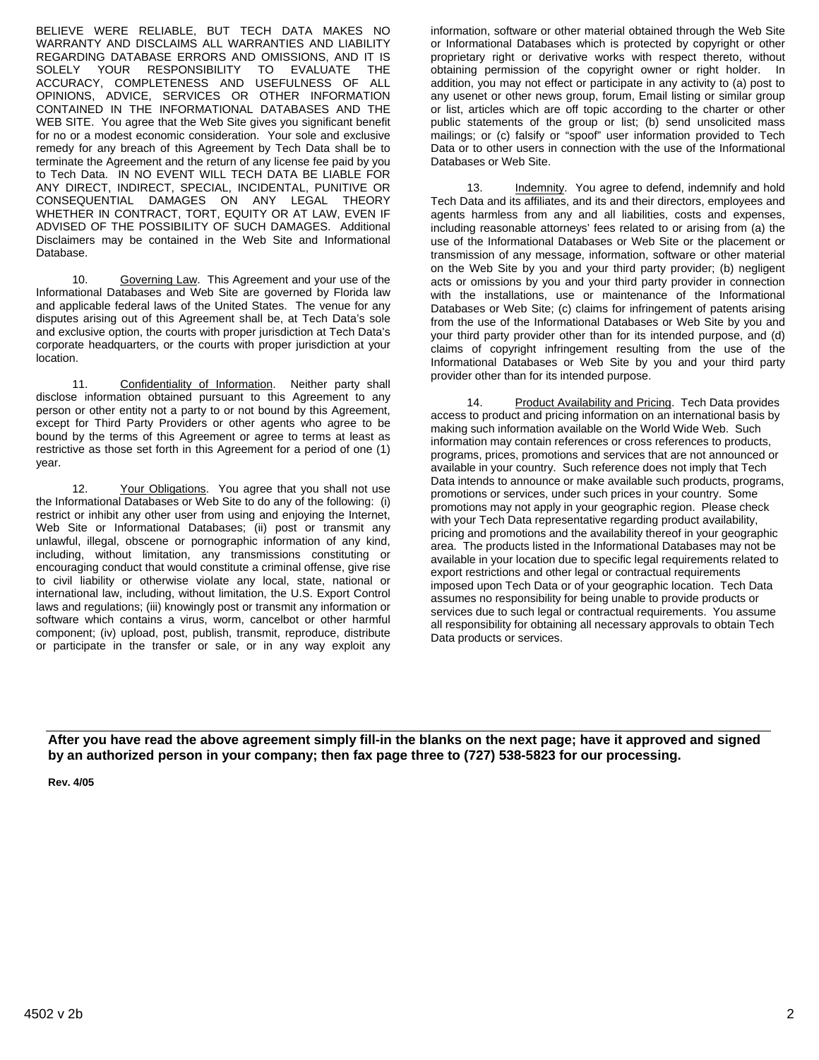BELIEVE WERE RELIABLE, BUT TECH DATA MAKES NO WARRANTY AND DISCLAIMS ALL WARRANTIES AND LIABILITY REGARDING DATABASE ERRORS AND OMISSIONS, AND IT IS SOLELY YOUR RESPONSIBILITY TO EVALUATE THE ACCURACY, COMPLETENESS AND USEFULNESS OF ALL OPINIONS, ADVICE, SERVICES OR OTHER INFORMATION CONTAINED IN THE INFORMATIONAL DATABASES AND THE WEB SITE. You agree that the Web Site gives you significant benefit for no or a modest economic consideration. Your sole and exclusive remedy for any breach of this Agreement by Tech Data shall be to terminate the Agreement and the return of any license fee paid by you to Tech Data. IN NO EVENT WILL TECH DATA BE LIABLE FOR ANY DIRECT, INDIRECT, SPECIAL, INCIDENTAL, PUNITIVE OR CONSEQUENTIAL DAMAGES ON ANY LEGAL THEORY WHETHER IN CONTRACT, TORT, EQUITY OR AT LAW, EVEN IF ADVISED OF THE POSSIBILITY OF SUCH DAMAGES. Additional Disclaimers may be contained in the Web Site and Informational Database.

 10. Governing Law. This Agreement and your use of the Informational Databases and Web Site are governed by Florida law and applicable federal laws of the United States. The venue for any disputes arising out of this Agreement shall be, at Tech Data's sole and exclusive option, the courts with proper jurisdiction at Tech Data's corporate headquarters, or the courts with proper jurisdiction at your location.

11. Confidentiality of Information. Neither party shall disclose information obtained pursuant to this Agreement to any person or other entity not a party to or not bound by this Agreement, except for Third Party Providers or other agents who agree to be bound by the terms of this Agreement or agree to terms at least as restrictive as those set forth in this Agreement for a period of one (1) year.

12. Your Obligations. You agree that you shall not use the Informational Databases or Web Site to do any of the following: (i) restrict or inhibit any other user from using and enjoying the Internet, Web Site or Informational Databases; (ii) post or transmit any unlawful, illegal, obscene or pornographic information of any kind, including, without limitation, any transmissions constituting or encouraging conduct that would constitute a criminal offense, give rise to civil liability or otherwise violate any local, state, national or international law, including, without limitation, the U.S. Export Control laws and regulations; (iii) knowingly post or transmit any information or software which contains a virus, worm, cancelbot or other harmful component; (iv) upload, post, publish, transmit, reproduce, distribute or participate in the transfer or sale, or in any way exploit any

information, software or other material obtained through the Web Site or Informational Databases which is protected by copyright or other proprietary right or derivative works with respect thereto, without obtaining permission of the copyright owner or right holder. In addition, you may not effect or participate in any activity to (a) post to any usenet or other news group, forum, Email listing or similar group or list, articles which are off topic according to the charter or other public statements of the group or list; (b) send unsolicited mass mailings; or (c) falsify or "spoof" user information provided to Tech Data or to other users in connection with the use of the Informational Databases or Web Site.

 13. Indemnity. You agree to defend, indemnify and hold Tech Data and its affiliates, and its and their directors, employees and agents harmless from any and all liabilities, costs and expenses, including reasonable attorneys' fees related to or arising from (a) the use of the Informational Databases or Web Site or the placement or transmission of any message, information, software or other material on the Web Site by you and your third party provider; (b) negligent acts or omissions by you and your third party provider in connection with the installations, use or maintenance of the Informational Databases or Web Site; (c) claims for infringement of patents arising from the use of the Informational Databases or Web Site by you and your third party provider other than for its intended purpose, and (d) claims of copyright infringement resulting from the use of the Informational Databases or Web Site by you and your third party provider other than for its intended purpose.

14. Product Availability and Pricing. Tech Data provides access to product and pricing information on an international basis by making such information available on the World Wide Web. Such information may contain references or cross references to products, programs, prices, promotions and services that are not announced or available in your country. Such reference does not imply that Tech Data intends to announce or make available such products, programs, promotions or services, under such prices in your country. Some promotions may not apply in your geographic region. Please check with your Tech Data representative regarding product availability, pricing and promotions and the availability thereof in your geographic area. The products listed in the Informational Databases may not be available in your location due to specific legal requirements related to export restrictions and other legal or contractual requirements imposed upon Tech Data or of your geographic location. Tech Data assumes no responsibility for being unable to provide products or services due to such legal or contractual requirements. You assume all responsibility for obtaining all necessary approvals to obtain Tech Data products or services.

**After you have read the above agreement simply fill-in the blanks on the next page; have it approved and signed by an authorized person in your company; then fax page three to (727) 538-5823 for our processing.** 

**Rev. 4/05**